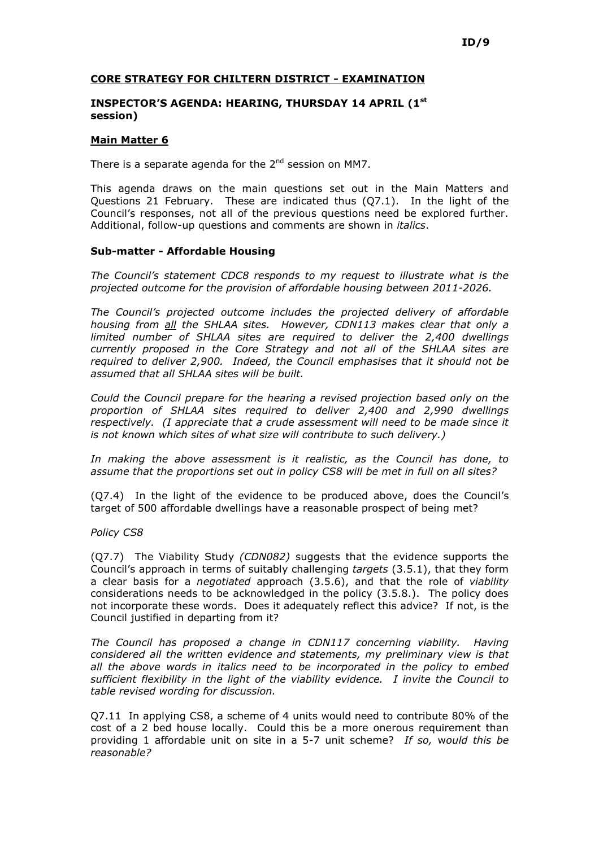# CORE STRATEGY FOR CHILTERN DISTRICT - EXAMINATION

### INSPECTOR'S AGENDA: HEARING, THURSDAY 14 APRIL (1st session)

#### Main Matter 6

There is a separate agenda for the  $2^{nd}$  session on MM7.

This agenda draws on the main questions set out in the Main Matters and Questions 21 February. These are indicated thus (Q7.1). In the light of the Council's responses, not all of the previous questions need be explored further. Additional, follow-up questions and comments are shown in *italics*.

### Sub-matter - Affordable Housing

The Council's statement CDC8 responds to my request to illustrate what is the projected outcome for the provision of affordable housing between 2011-2026.

The Council's projected outcome includes the projected delivery of affordable housing from all the SHLAA sites. However, CDN113 makes clear that only a limited number of SHLAA sites are required to deliver the 2,400 dwellings currently proposed in the Core Strategy and not all of the SHLAA sites are required to deliver 2,900. Indeed, the Council emphasises that it should not be assumed that all SHLAA sites will be built.

Could the Council prepare for the hearing a revised projection based only on the proportion of SHLAA sites required to deliver 2,400 and 2,990 dwellings respectively. (I appreciate that a crude assessment will need to be made since it is not known which sites of what size will contribute to such delivery.)

In making the above assessment is it realistic, as the Council has done, to assume that the proportions set out in policy CS8 will be met in full on all sites?

(Q7.4) In the light of the evidence to be produced above, does the Council's target of 500 affordable dwellings have a reasonable prospect of being met?

Policy CS8

(Q7.7) The Viability Study (CDN082) suggests that the evidence supports the Council's approach in terms of suitably challenging targets (3.5.1), that they form a clear basis for a *negotiated* approach (3.5.6), and that the role of *viability* considerations needs to be acknowledged in the policy (3.5.8.). The policy does not incorporate these words. Does it adequately reflect this advice? If not, is the Council justified in departing from it?

The Council has proposed a change in CDN117 concerning viability. Having considered all the written evidence and statements, my preliminary view is that all the above words in italics need to be incorporated in the policy to embed sufficient flexibility in the light of the viability evidence. I invite the Council to table revised wording for discussion.

Q7.11 In applying CS8, a scheme of 4 units would need to contribute 80% of the cost of a 2 bed house locally. Could this be a more onerous requirement than providing 1 affordable unit on site in a 5-7 unit scheme? If so, would this be reasonable?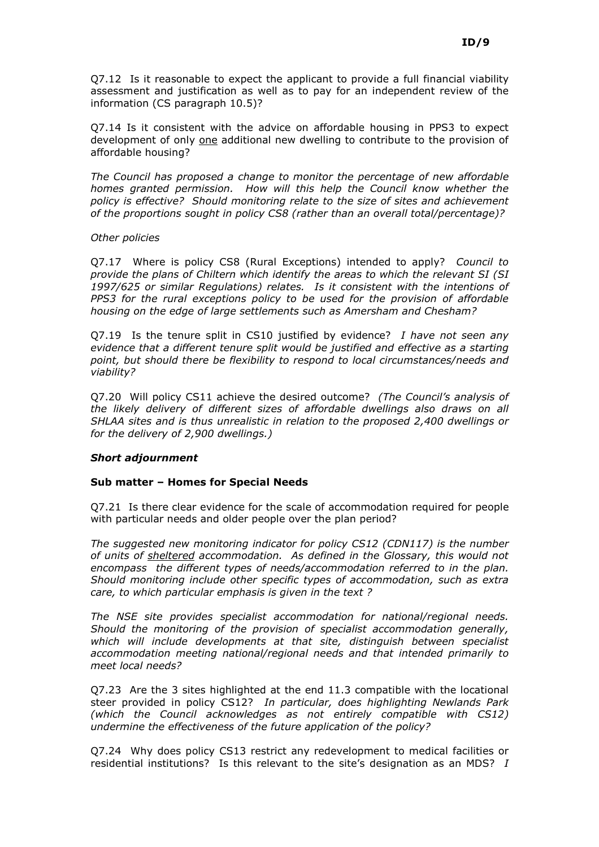Q7.12 Is it reasonable to expect the applicant to provide a full financial viability assessment and justification as well as to pay for an independent review of the information (CS paragraph 10.5)?

Q7.14 Is it consistent with the advice on affordable housing in PPS3 to expect development of only one additional new dwelling to contribute to the provision of affordable housing?

The Council has proposed a change to monitor the percentage of new affordable homes granted permission. How will this help the Council know whether the policy is effective? Should monitoring relate to the size of sites and achievement of the proportions sought in policy CS8 (rather than an overall total/percentage)?

### Other policies

Q7.17 Where is policy CS8 (Rural Exceptions) intended to apply? Council to provide the plans of Chiltern which identify the areas to which the relevant SI (SI 1997/625 or similar Regulations) relates. Is it consistent with the intentions of PPS3 for the rural exceptions policy to be used for the provision of affordable housing on the edge of large settlements such as Amersham and Chesham?

Q7.19 Is the tenure split in CS10 justified by evidence? I have not seen any evidence that a different tenure split would be justified and effective as a starting point, but should there be flexibility to respond to local circumstances/needs and viability?

Q7.20 Will policy CS11 achieve the desired outcome? (The Council's analysis of the likely delivery of different sizes of affordable dwellings also draws on all SHLAA sites and is thus unrealistic in relation to the proposed 2,400 dwellings or for the delivery of 2,900 dwellings.)

# Short adjournment

# Sub matter – Homes for Special Needs

Q7.21 Is there clear evidence for the scale of accommodation required for people with particular needs and older people over the plan period?

The suggested new monitoring indicator for policy CS12 (CDN117) is the number of units of sheltered accommodation. As defined in the Glossary, this would not encompass the different types of needs/accommodation referred to in the plan. Should monitoring include other specific types of accommodation, such as extra care, to which particular emphasis is given in the text ?

The NSE site provides specialist accommodation for national/regional needs. Should the monitoring of the provision of specialist accommodation generally, which will include developments at that site, distinguish between specialist accommodation meeting national/regional needs and that intended primarily to meet local needs?

Q7.23 Are the 3 sites highlighted at the end 11.3 compatible with the locational steer provided in policy CS12? In particular, does highlighting Newlands Park (which the Council acknowledges as not entirely compatible with CS12) undermine the effectiveness of the future application of the policy?

Q7.24 Why does policy CS13 restrict any redevelopment to medical facilities or residential institutions? Is this relevant to the site's designation as an MDS?  $I$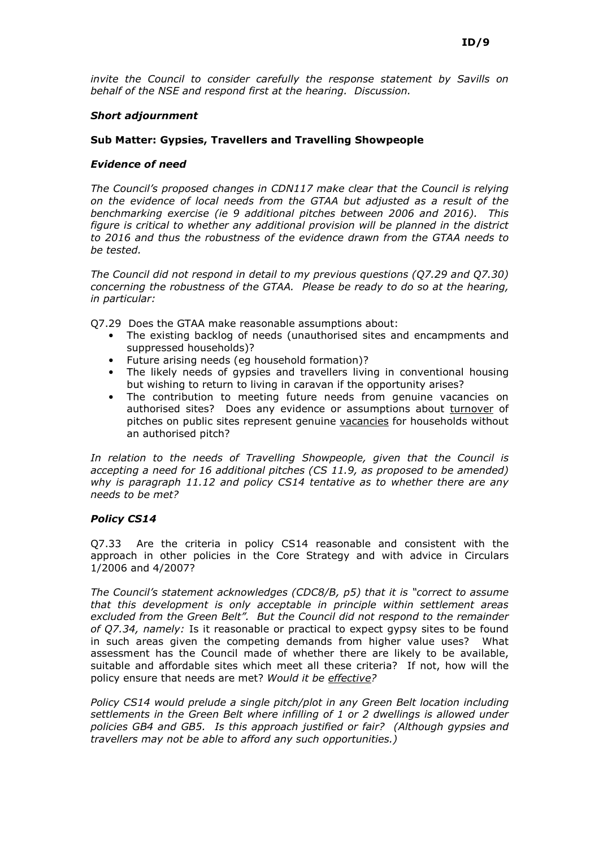invite the Council to consider carefully the response statement by Savills on behalf of the NSE and respond first at the hearing. Discussion.

### Short adjournment

# Sub Matter: Gypsies, Travellers and Travelling Showpeople

#### Evidence of need

The Council's proposed changes in CDN117 make clear that the Council is relying on the evidence of local needs from the GTAA but adjusted as a result of the benchmarking exercise (ie 9 additional pitches between 2006 and 2016). This figure is critical to whether any additional provision will be planned in the district to 2016 and thus the robustness of the evidence drawn from the GTAA needs to be tested.

The Council did not respond in detail to my previous questions (Q7.29 and Q7.30) concerning the robustness of the GTAA. Please be ready to do so at the hearing, in particular:

Q7.29 Does the GTAA make reasonable assumptions about:

- The existing backlog of needs (unauthorised sites and encampments and suppressed households)?
- Future arising needs (eg household formation)?
- The likely needs of gypsies and travellers living in conventional housing but wishing to return to living in caravan if the opportunity arises?
- The contribution to meeting future needs from genuine vacancies on authorised sites? Does any evidence or assumptions about turnover of pitches on public sites represent genuine vacancies for households without an authorised pitch?

In relation to the needs of Travelling Showpeople, given that the Council is accepting a need for 16 additional pitches (CS 11.9, as proposed to be amended) why is paragraph 11.12 and policy CS14 tentative as to whether there are any needs to be met?

# Policy CS14

Q7.33 Are the criteria in policy CS14 reasonable and consistent with the approach in other policies in the Core Strategy and with advice in Circulars 1/2006 and 4/2007?

The Council's statement acknowledges (CDC8/B, p5) that it is "correct to assume that this development is only acceptable in principle within settlement areas excluded from the Green Belt". But the Council did not respond to the remainder of Q7.34, namely: Is it reasonable or practical to expect gypsy sites to be found in such areas given the competing demands from higher value uses? What assessment has the Council made of whether there are likely to be available, suitable and affordable sites which meet all these criteria? If not, how will the policy ensure that needs are met? Would it be effective?

Policy CS14 would prelude a single pitch/plot in any Green Belt location including settlements in the Green Belt where infilling of 1 or 2 dwellings is allowed under policies GB4 and GB5. Is this approach justified or fair? (Although gypsies and travellers may not be able to afford any such opportunities.)